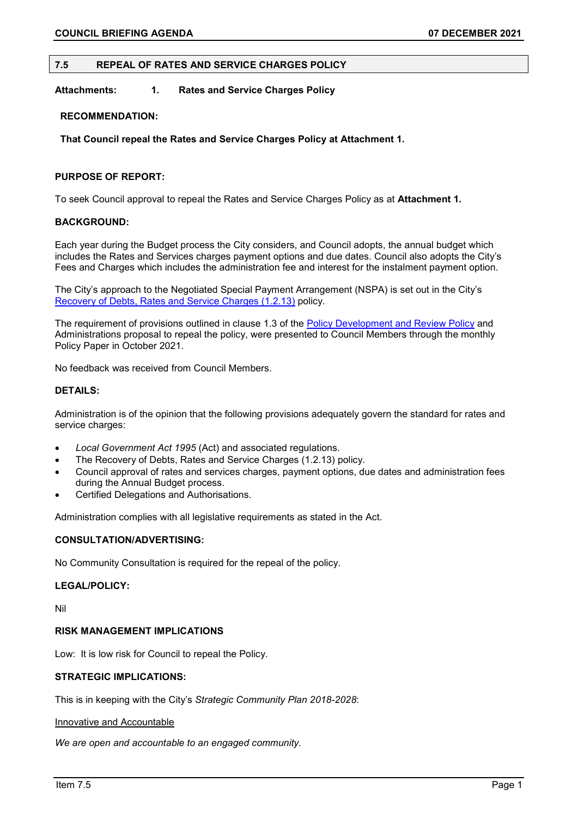# **7.5 REPEAL OF RATES AND SERVICE CHARGES POLICY**

**Attachments: 1. Rates and Service Charges Policy** 

# **RECOMMENDATION:**

**That Council repeal the Rates and Service Charges Policy at Attachment 1.**

# **PURPOSE OF REPORT:**

To seek Council approval to repeal the Rates and Service Charges Policy as at **Attachment 1.**

# **BACKGROUND:**

Each year during the Budget process the City considers, and Council adopts, the annual budget which includes the Rates and Services charges payment options and due dates. Council also adopts the City's Fees and Charges which includes the administration fee and interest for the instalment payment option.

The City's approach to the Negotiated Special Payment Arrangement (NSPA) is set out in the City's [Recovery of Debts, Rates and Service Charges \(1.2.13\)](https://www.vincent.wa.gov.au/documents/638/1213-recovery-of-debts-rates-and-service-charges) policy.

The requirement of provisions outlined in clause 1.3 of the **Policy Development and Review Policy** and Administrations proposal to repeal the policy, were presented to Council Members through the monthly Policy Paper in October 2021.

No feedback was received from Council Members.

# **DETAILS:**

Administration is of the opinion that the following provisions adequately govern the standard for rates and service charges:

- *Local Government Act 1995* (Act) and associated regulations.
- The Recovery of Debts, Rates and Service Charges (1.2.13) policy.
- Council approval of rates and services charges, payment options, due dates and administration fees during the Annual Budget process.
- Certified Delegations and Authorisations.

Administration complies with all legislative requirements as stated in the Act.

## **CONSULTATION/ADVERTISING:**

No Community Consultation is required for the repeal of the policy.

## **LEGAL/POLICY:**

Nil

## **RISK MANAGEMENT IMPLICATIONS**

Low: It is low risk for Council to repeal the Policy.

# **STRATEGIC IMPLICATIONS:**

This is in keeping with the City's *Strategic Community Plan 2018-2028*:

### Innovative and Accountable

*We are open and accountable to an engaged community.*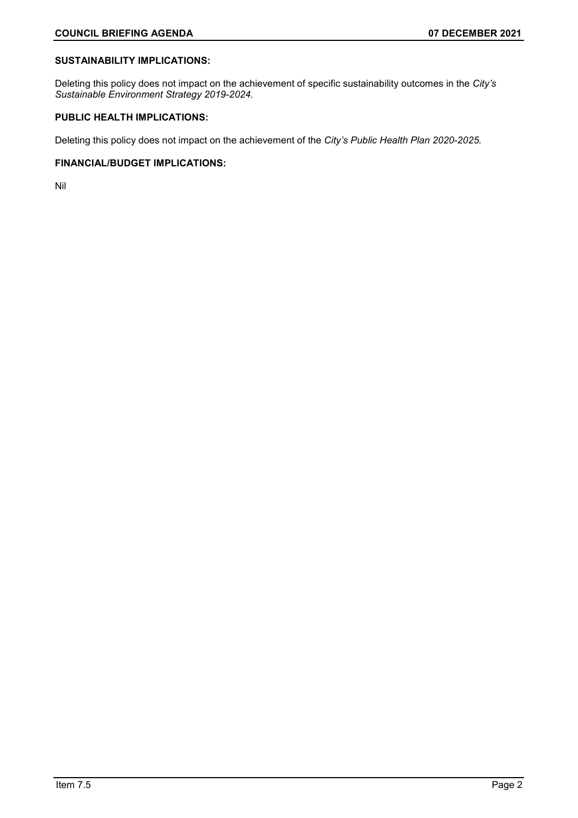# **SUSTAINABILITY IMPLICATIONS:**

Deleting this policy does not impact on the achievement of specific sustainability outcomes in the *City's Sustainable Environment Strategy 2019-2024.*

# **PUBLIC HEALTH IMPLICATIONS:**

Deleting this policy does not impact on the achievement of the *City's Public Health Plan 2020-2025.*

# **FINANCIAL/BUDGET IMPLICATIONS:**

Nil